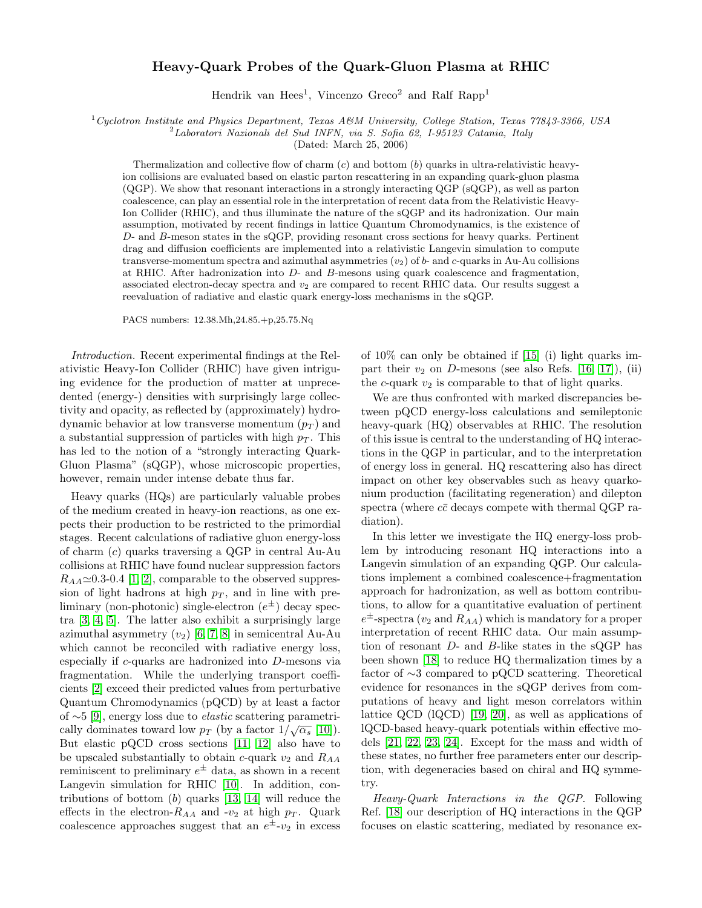## Heavy-Quark Probes of the Quark-Gluon Plasma at RHIC

Hendrik van Hees<sup>1</sup>, Vincenzo Greco<sup>2</sup> and Ralf Rapp<sup>1</sup>

 $1C$ yclotron Institute and Physics Department, Texas A&M University, College Station, Texas 77843-3366, USA

<sup>2</sup>Laboratori Nazionali del Sud INFN, via S. Sofia 62, I-95123 Catania, Italy

(Dated: March 25, 2006)

Thermalization and collective flow of charm  $(c)$  and bottom  $(b)$  quarks in ultra-relativistic heavyion collisions are evaluated based on elastic parton rescattering in an expanding quark-gluon plasma (QGP). We show that resonant interactions in a strongly interacting QGP (sQGP), as well as parton coalescence, can play an essential role in the interpretation of recent data from the Relativistic Heavy-Ion Collider (RHIC), and thus illuminate the nature of the sQGP and its hadronization. Our main assumption, motivated by recent findings in lattice Quantum Chromodynamics, is the existence of D- and B-meson states in the sQGP, providing resonant cross sections for heavy quarks. Pertinent drag and diffusion coefficients are implemented into a relativistic Langevin simulation to compute transverse-momentum spectra and azimuthal asymmetries  $(v_2)$  of b- and c-quarks in Au-Au collisions at RHIC. After hadronization into D- and B-mesons using quark coalescence and fragmentation, associated electron-decay spectra and  $v_2$  are compared to recent RHIC data. Our results suggest a reevaluation of radiative and elastic quark energy-loss mechanisms in the sQGP.

PACS numbers: 12.38.Mh,24.85.+p,25.75.Nq

Introduction. Recent experimental findings at the Relativistic Heavy-Ion Collider (RHIC) have given intriguing evidence for the production of matter at unprecedented (energy-) densities with surprisingly large collectivity and opacity, as reflected by (approximately) hydrodynamic behavior at low transverse momentum  $(p_T)$  and a substantial suppression of particles with high  $p<sub>T</sub>$ . This has led to the notion of a "strongly interacting Quark-Gluon Plasma" (sQGP), whose microscopic properties, however, remain under intense debate thus far.

Heavy quarks (HQs) are particularly valuable probes of the medium created in heavy-ion reactions, as one expects their production to be restricted to the primordial stages. Recent calculations of radiative gluon energy-loss of charm (c) quarks traversing a QGP in central Au-Au collisions at RHIC have found nuclear suppression factors  $R_{AA} \simeq 0.3{\text -}0.4$  [\[1,](#page-3-0) [2\]](#page-3-1), comparable to the observed suppression of light hadrons at high  $p<sub>T</sub>$ , and in line with preliminary (non-photonic) single-electron  $(e^{\pm})$  decay spectra [\[3,](#page-3-2) [4,](#page-3-3) [5\]](#page-3-4). The latter also exhibit a surprisingly large azimuthal asymmetry  $(v_2)$  [\[6,](#page-3-5) [7,](#page-3-6) [8\]](#page-3-7) in semicentral Au-Au which cannot be reconciled with radiative energy loss, especially if c-quarks are hadronized into D-mesons via fragmentation. While the underlying transport coefficients [\[2\]](#page-3-1) exceed their predicted values from perturbative Quantum Chromodynamics (pQCD) by at least a factor of ∼5 [\[9\]](#page-3-8), energy loss due to elastic scattering parametrically dominates toward low  $p_T$  (by a factor  $1/\sqrt{\alpha_s}$  [\[10\]](#page-3-9)). But elastic pQCD cross sections [\[11,](#page-3-10) [12\]](#page-3-11) also have to be upscaled substantially to obtain c-quark  $v_2$  and  $R_{AA}$ reminiscent to preliminary  $e^{\pm}$  data, as shown in a recent Langevin simulation for RHIC [\[10\]](#page-3-9). In addition, contributions of bottom  $(b)$  quarks [\[13,](#page-3-12) [14\]](#page-3-13) will reduce the effects in the electron- $R_{AA}$  and -v<sub>2</sub> at high  $p_T$ . Quark coalescence approaches suggest that an  $e^{\pm}$ - $v_2$  in excess of 10% can only be obtained if [\[15\]](#page-3-14) (i) light quarks impart their  $v_2$  on D-mesons (see also Refs. [\[16,](#page-3-15) [17\]](#page-3-16)), (ii) the c-quark  $v_2$  is comparable to that of light quarks.

We are thus confronted with marked discrepancies between pQCD energy-loss calculations and semileptonic heavy-quark (HQ) observables at RHIC. The resolution of this issue is central to the understanding of HQ interactions in the QGP in particular, and to the interpretation of energy loss in general. HQ rescattering also has direct impact on other key observables such as heavy quarkonium production (facilitating regeneration) and dilepton spectra (where  $c\bar{c}$  decays compete with thermal QGP radiation).

In this letter we investigate the HQ energy-loss problem by introducing resonant HQ interactions into a Langevin simulation of an expanding QGP. Our calculations implement a combined coalescence+fragmentation approach for hadronization, as well as bottom contributions, to allow for a quantitative evaluation of pertinent  $e^{\pm}$ -spectra ( $v_2$  and  $R_{AA}$ ) which is mandatory for a proper interpretation of recent RHIC data. Our main assumption of resonant D- and B-like states in the sQGP has been shown [\[18\]](#page-3-17) to reduce HQ thermalization times by a factor of ∼3 compared to pQCD scattering. Theoretical evidence for resonances in the sQGP derives from computations of heavy and light meson correlators within lattice QCD (lQCD) [\[19,](#page-3-18) [20\]](#page-3-19), as well as applications of lQCD-based heavy-quark potentials within effective models [\[21,](#page-3-20) [22,](#page-3-21) [23,](#page-3-22) [24\]](#page-3-23). Except for the mass and width of these states, no further free parameters enter our description, with degeneracies based on chiral and HQ symmetry.

Heavy-Quark Interactions in the QGP. Following Ref. [\[18\]](#page-3-17) our description of HQ interactions in the QGP focuses on elastic scattering, mediated by resonance ex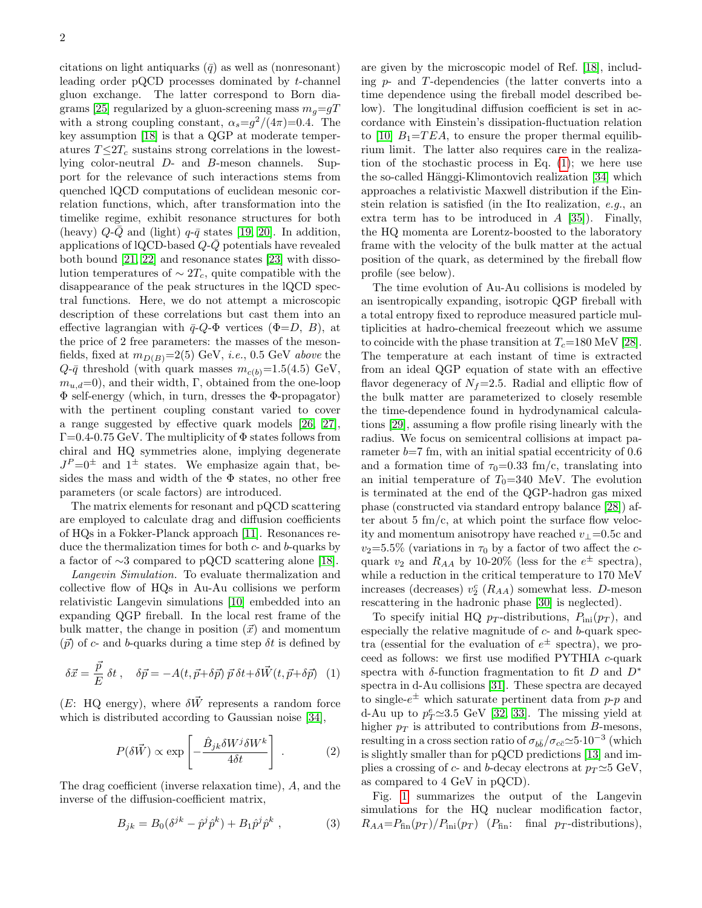citations on light antiquarks  $(\bar{q})$  as well as (nonresonant) leading order pQCD processes dominated by t-channel gluon exchange. The latter correspond to Born dia-grams [\[25\]](#page-3-24) regularized by a gluon-screening mass  $m<sub>g</sub>=qT$ with a strong coupling constant,  $\alpha_s = g^2/(4\pi) = 0.4$ . The key assumption [\[18\]](#page-3-17) is that a QGP at moderate temperatures  $T \leq 2T_c$  sustains strong correlations in the lowestlying color-neutral D- and B-meson channels. Support for the relevance of such interactions stems from quenched lQCD computations of euclidean mesonic correlation functions, which, after transformation into the timelike regime, exhibit resonance structures for both (heavy)  $Q-\overline{Q}$  and (light)  $q-\overline{q}$  states [\[19,](#page-3-18) [20\]](#page-3-19). In addition, applications of lQCD-based  $Q\text{-}\bar{Q}$  potentials have revealed both bound [\[21,](#page-3-20) [22\]](#page-3-21) and resonance states [\[23\]](#page-3-22) with dissolution temperatures of  $\sim 2T_c$ , quite compatible with the disappearance of the peak structures in the lQCD spectral functions. Here, we do not attempt a microscopic description of these correlations but cast them into an effective lagrangian with  $\bar{q}$ - $Q$ - $\Phi$  vertices ( $\Phi$ = $D, B$ ), at the price of 2 free parameters: the masses of the mesonfields, fixed at  $m_{D(B)}=2(5)$  GeV, *i.e.*, 0.5 GeV *above* the  $Q$ - $\bar{q}$  threshold (with quark masses  $m_{c(b)}=1.5(4.5)$  GeV,  $m_{u,d}=0$ , and their width, Γ, obtained from the one-loop Φ self-energy (which, in turn, dresses the Φ-propagator) with the pertinent coupling constant varied to cover a range suggested by effective quark models [\[26,](#page-3-25) [27\]](#page-3-26),  $\Gamma$ =0.4-0.75 GeV. The multiplicity of  $\Phi$  states follows from chiral and HQ symmetries alone, implying degenerate  $J^P=0^{\pm}$  and  $1^{\pm}$  states. We emphasize again that, besides the mass and width of the  $\Phi$  states, no other free parameters (or scale factors) are introduced.

The matrix elements for resonant and pQCD scattering are employed to calculate drag and diffusion coefficients of HQs in a Fokker-Planck approach [\[11\]](#page-3-10). Resonances reduce the thermalization times for both  $c$ - and  $b$ -quarks by a factor of ∼3 compared to pQCD scattering alone [\[18\]](#page-3-17).

Langevin Simulation. To evaluate thermalization and collective flow of HQs in Au-Au collisions we perform relativistic Langevin simulations [\[10\]](#page-3-9) embedded into an expanding QGP fireball. In the local rest frame of the bulk matter, the change in position  $(\vec{x})$  and momentum  $(\vec{p})$  of c- and b-quarks during a time step  $\delta t$  is defined by

<span id="page-1-0"></span>
$$
\delta \vec{x} = \frac{\vec{p}}{E} \delta t , \quad \delta \vec{p} = -A(t, \vec{p} + \delta \vec{p}) \, \vec{p} \, \delta t + \delta \vec{W}(t, \vec{p} + \delta \vec{p}) \tag{1}
$$

 $(E: HQ energy)$ , where  $\delta \vec{W}$  represents a random force which is distributed according to Gaussian noise [\[34\]](#page-3-27),

$$
P(\delta \vec{W}) \propto \exp\left[-\frac{\hat{B}_{jk}\delta W^j \delta W^k}{4\delta t}\right] \ . \tag{2}
$$

The drag coefficient (inverse relaxation time), A, and the inverse of the diffusion-coefficient matrix,

$$
B_{jk} = B_0 (\delta^{jk} - \hat{p}^j \hat{p}^k) + B_1 \hat{p}^j \hat{p}^k , \qquad (3)
$$

are given by the microscopic model of Ref. [\[18\]](#page-3-17), including  $p$ - and  $T$ -dependencies (the latter converts into a time dependence using the fireball model described below). The longitudinal diffusion coefficient is set in accordance with Einstein's dissipation-fluctuation relation to [\[10\]](#page-3-9)  $B_1 = TEA$ , to ensure the proper thermal equilibrium limit. The latter also requires care in the realization of the stochastic process in Eq.  $(1)$ ; we here use the so-called Hänggi-Klimontovich realization [\[34\]](#page-3-27) which approaches a relativistic Maxwell distribution if the Einstein relation is satisfied (in the Ito realization, e.g., an extra term has to be introduced in  $A$  [\[35\]](#page-3-28)). Finally, the HQ momenta are Lorentz-boosted to the laboratory frame with the velocity of the bulk matter at the actual position of the quark, as determined by the fireball flow profile (see below).

The time evolution of Au-Au collisions is modeled by an isentropically expanding, isotropic QGP fireball with a total entropy fixed to reproduce measured particle multiplicities at hadro-chemical freezeout which we assume to coincide with the phase transition at  $T_c$ =180 MeV [\[28\]](#page-3-29). The temperature at each instant of time is extracted from an ideal QGP equation of state with an effective flavor degeneracy of  $N_f=2.5$ . Radial and elliptic flow of the bulk matter are parameterized to closely resemble the time-dependence found in hydrodynamical calculations [\[29\]](#page-3-30), assuming a flow profile rising linearly with the radius. We focus on semicentral collisions at impact parameter  $b=7$  fm, with an initial spatial eccentricity of 0.6 and a formation time of  $\tau_0=0.33$  fm/c, translating into an initial temperature of  $T_0=340$  MeV. The evolution is terminated at the end of the QGP-hadron gas mixed phase (constructed via standard entropy balance [\[28\]](#page-3-29)) after about 5 fm/c, at which point the surface flow velocity and momentum anisotropy have reached  $v_{\perp}$ =0.5c and  $v_2=5.5\%$  (variations in  $\tau_0$  by a factor of two affect the cquark  $v_2$  and  $R_{AA}$  by 10-20% (less for the  $e^{\pm}$  spectra), while a reduction in the critical temperature to 170 MeV increases (decreases)  $v_2^c$  ( $R_{AA}$ ) somewhat less. D-meson rescattering in the hadronic phase [\[30\]](#page-3-31) is neglected).

To specify initial HQ  $p_T$ -distributions,  $P_{\text{ini}}(p_T)$ , and especially the relative magnitude of  $c$ - and  $b$ -quark spectra (essential for the evaluation of  $e^{\pm}$  spectra), we proceed as follows: we first use modified PYTHIA c-quark spectra with  $\delta$ -function fragmentation to fit D and  $D^*$ spectra in d-Au collisions [\[31\]](#page-3-32). These spectra are decayed to single- $e^{\pm}$  which saturate pertinent data from p-p and d-Au up to  $p_T^e \simeq 3.5$  GeV [\[32,](#page-3-33) [33\]](#page-3-34). The missing yield at higher  $p_T$  is attributed to contributions from B-mesons, resulting in a cross section ratio of  $\sigma_{b\bar{b}}/\sigma_{c\bar{c}}\simeq5\cdot10^{-3}$  (which is slightly smaller than for pQCD predictions [\[13\]](#page-3-12) and implies a crossing of c- and b-decay electrons at  $p_T \simeq 5$  GeV, as compared to 4 GeV in pQCD).

Fig. [1](#page-2-0) summarizes the output of the Langevin simulations for the HQ nuclear modification factor,  $R_{AA} = P_{fin}(p_T) / P_{ini}(p_T)$  ( $P_{fin}$ : final  $p_T$ -distributions),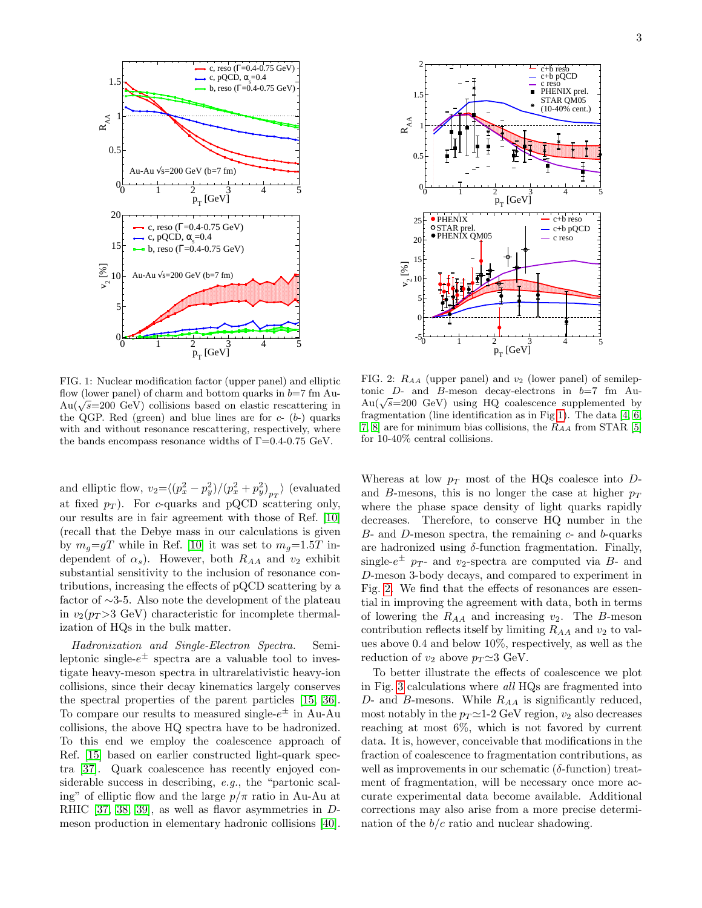

<span id="page-2-0"></span>FIG. 1: Nuclear modification factor (upper panel) and elliptic flow (lower panel) of charm and bottom quarks in  $b=7$  fm Auhow (lower panel) of charm and bottom quarks in  $v = i$  in Au-<br>Au( $\sqrt{s}$ =200 GeV) collisions based on elastic rescattering in the QGP. Red (green) and blue lines are for  $c- (b-)$  quarks with and without resonance rescattering, respectively, where the bands encompass resonance widths of  $\Gamma = 0.4$ -0.75 GeV.

and elliptic flow,  $v_2 = \langle (p_x^2 - p_y^2)/(p_x^2 + p_y^2)_{p_T} \rangle$  (evaluated at fixed  $p_T$ ). For c-quarks and pQCD scattering only, our results are in fair agreement with those of Ref. [\[10\]](#page-3-9) (recall that the Debye mass in our calculations is given by  $m_q = gT$  while in Ref. [\[10\]](#page-3-9) it was set to  $m_q = 1.5T$  independent of  $\alpha_s$ ). However, both  $R_{AA}$  and  $v_2$  exhibit substantial sensitivity to the inclusion of resonance contributions, increasing the effects of pQCD scattering by a factor of ∼3-5. Also note the development of the plateau in  $v_2(p_T > 3$  GeV) characteristic for incomplete thermalization of HQs in the bulk matter.

Hadronization and Single-Electron Spectra. Semileptonic single- $e^{\pm}$  spectra are a valuable tool to investigate heavy-meson spectra in ultrarelativistic heavy-ion collisions, since their decay kinematics largely conserves the spectral properties of the parent particles [\[15,](#page-3-14) [36\]](#page-3-35). To compare our results to measured single- $e^{\pm}$  in Au-Au collisions, the above HQ spectra have to be hadronized. To this end we employ the coalescence approach of Ref. [\[15\]](#page-3-14) based on earlier constructed light-quark spectra [\[37\]](#page-3-36). Quark coalescence has recently enjoyed considerable success in describing, e.g., the "partonic scaling" of elliptic flow and the large  $p/\pi$  ratio in Au-Au at RHIC [\[37,](#page-3-36) [38,](#page-3-37) [39\]](#page-3-38), as well as flavor asymmetries in Dmeson production in elementary hadronic collisions [\[40\]](#page-4-0).



<span id="page-2-1"></span>FIG. 2:  $R_{AA}$  (upper panel) and  $v_2$  (lower panel) of semileptonic  $D$ - and  $B$ -meson decay-electrons in  $b=7$  fm Autome D- and B-meson decay-electrons in  $v = i$  in Au-<br>Au( $\sqrt{s}$ =200 GeV) using HQ coalescence supplemented by fragmentation (line identification as in Fig [1\)](#page-2-0). The data [\[4,](#page-3-3) [6,](#page-3-5) [7,](#page-3-6) [8\]](#page-3-7) are for minimum bias collisions, the  $R_{AA}$  from STAR [\[5\]](#page-3-4) for 10-40% central collisions.

Whereas at low  $p_T$  most of the HQs coalesce into  $D$ and B-mesons, this is no longer the case at higher  $p_T$ where the phase space density of light quarks rapidly decreases. Therefore, to conserve HQ number in the  $B$ - and  $D$ -meson spectra, the remaining  $c$ - and  $b$ -quarks are hadronized using  $\delta$ -function fragmentation. Finally, single- $e^{\pm}$  p<sub>T</sub>- and v<sub>2</sub>-spectra are computed via B- and D-meson 3-body decays, and compared to experiment in Fig. [2.](#page-2-1) We find that the effects of resonances are essential in improving the agreement with data, both in terms of lowering the  $R_{AA}$  and increasing  $v_2$ . The B-meson contribution reflects itself by limiting  $R_{AA}$  and  $v_2$  to values above 0.4 and below 10%, respectively, as well as the reduction of  $v_2$  above  $p_T \simeq 3$  GeV.

To better illustrate the effects of coalescence we plot in Fig. [3](#page-3-39) calculations where all HQs are fragmented into  $D$ - and  $B$ -mesons. While  $R_{AA}$  is significantly reduced, most notably in the  $p_T \simeq 1$ -2 GeV region,  $v_2$  also decreases reaching at most 6%, which is not favored by current data. It is, however, conceivable that modifications in the fraction of coalescence to fragmentation contributions, as well as improvements in our schematic  $(\delta\text{-function})$  treatment of fragmentation, will be necessary once more accurate experimental data become available. Additional corrections may also arise from a more precise determination of the  $b/c$  ratio and nuclear shadowing.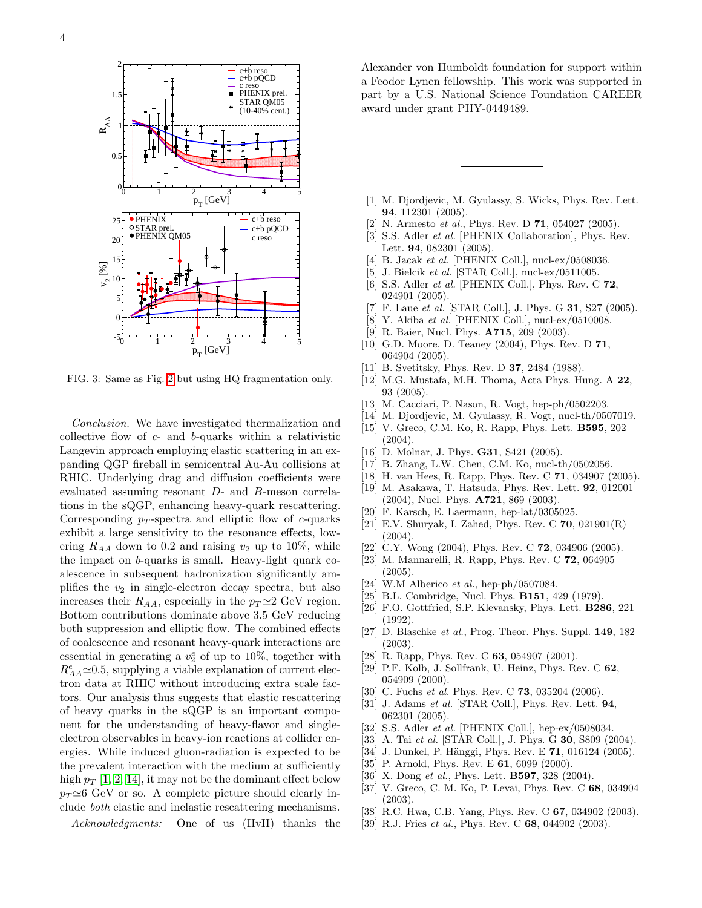

<span id="page-3-39"></span>FIG. 3: Same as Fig. [2](#page-2-1) but using HQ fragmentation only.

Conclusion. We have investigated thermalization and collective flow of c- and b-quarks within a relativistic Langevin approach employing elastic scattering in an expanding QGP fireball in semicentral Au-Au collisions at RHIC. Underlying drag and diffusion coefficients were evaluated assuming resonant D- and B-meson correlations in the sQGP, enhancing heavy-quark rescattering. Corresponding  $p_T$ -spectra and elliptic flow of c-quarks exhibit a large sensitivity to the resonance effects, lowering  $R_{AA}$  down to 0.2 and raising  $v_2$  up to 10%, while the impact on b-quarks is small. Heavy-light quark coalescence in subsequent hadronization significantly amplifies the  $v_2$  in single-electron decay spectra, but also increases their  $R_{AA}$ , especially in the  $p_T \simeq 2$  GeV region. Bottom contributions dominate above 3.5 GeV reducing both suppression and elliptic flow. The combined effects of coalescence and resonant heavy-quark interactions are essential in generating a  $v_2^e$  of up to 10%, together with  $R^e_{AA}{\simeq}0.5,$  supplying a viable explanation of current electron data at RHIC without introducing extra scale factors. Our analysis thus suggests that elastic rescattering of heavy quarks in the sQGP is an important component for the understanding of heavy-flavor and singleelectron observables in heavy-ion reactions at collider energies. While induced gluon-radiation is expected to be the prevalent interaction with the medium at sufficiently high  $p_T$  [\[1,](#page-3-0) [2,](#page-3-1) [14\]](#page-3-13), it may not be the dominant effect below  $p_T \simeq 6$  GeV or so. A complete picture should clearly include both elastic and inelastic rescattering mechanisms.

Alexander von Humboldt foundation for support within a Feodor Lynen fellowship. This work was supported in part by a U.S. National Science Foundation CAREER award under grant PHY-0449489.

- <span id="page-3-0"></span>[1] M. Djordjevic, M. Gyulassy, S. Wicks, Phys. Rev. Lett. 94, 112301 (2005).
- <span id="page-3-1"></span>[2] N. Armesto *et al.*, Phys. Rev. D **71**, 054027 (2005).
- <span id="page-3-2"></span>[3] S.S. Adler *et al.* [PHENIX Collaboration], Phys. Rev. Lett. 94, 082301 (2005).
- <span id="page-3-3"></span>[4] B. Jacak et al. [PHENIX Coll.], nucl-ex/0508036.
- <span id="page-3-4"></span>[5] J. Bielcik et al. [STAR Coll.], nucl-ex/0511005.
- <span id="page-3-5"></span>[6] S.S. Adler *et al.* [PHENIX Coll.], Phys. Rev. C 72, 024901 (2005).
- <span id="page-3-6"></span>[7] F. Laue et al. [STAR Coll.], J. Phys. G **31**, S27 (2005).
- <span id="page-3-7"></span>[8] Y. Akiba et al. [PHENIX Coll.], nucl-ex/0510008.
- <span id="page-3-8"></span>[9] R. Baier, Nucl. Phys. A715, 209 (2003).
- <span id="page-3-9"></span>[10] G.D. Moore, D. Teaney (2004), Phys. Rev. D 71, 064904 (2005).
- <span id="page-3-10"></span>[11] B. Svetitsky, Phys. Rev. D **37**, 2484 (1988).
- <span id="page-3-11"></span>[12] M.G. Mustafa, M.H. Thoma, Acta Phys. Hung. A 22, 93 (2005).
- <span id="page-3-12"></span>[13] M. Cacciari, P. Nason, R. Vogt, hep-ph/0502203.
- <span id="page-3-13"></span>[14] M. Djordjevic, M. Gyulassy, R. Vogt, nucl-th/0507019.
- <span id="page-3-14"></span>[15] V. Greco, C.M. Ko, R. Rapp, Phys. Lett. B595, 202 (2004).
- <span id="page-3-15"></span>[16] D. Molnar, J. Phys. **G31**, S421 (2005).
- <span id="page-3-16"></span>[17] B. Zhang, L.W. Chen, C.M. Ko, nucl-th/0502056.
- <span id="page-3-17"></span>[18] H. van Hees, R. Rapp, Phys. Rev. C 71, 034907 (2005).
- <span id="page-3-18"></span>[19] M. Asakawa, T. Hatsuda, Phys. Rev. Lett. 92, 012001 (2004), Nucl. Phys. A721, 869 (2003).
- <span id="page-3-19"></span>[20] F. Karsch, E. Laermann, hep-lat/0305025.
- <span id="page-3-20"></span>[21] E.V. Shuryak, I. Zahed, Phys. Rev. C 70, 021901(R) (2004).
- <span id="page-3-21"></span>[22] C.Y. Wong (2004), Phys. Rev. C **72**, 034906 (2005).
- <span id="page-3-22"></span>[23] M. Mannarelli, R. Rapp, Phys. Rev. C 72, 064905
- (2005).
- <span id="page-3-23"></span>[24] W.M Alberico et al., hep-ph/0507084.
- <span id="page-3-24"></span>[25] B.L. Combridge, Nucl. Phys. **B151**, 429 (1979).
- <span id="page-3-25"></span>[26] F.O. Gottfried, S.P. Klevansky, Phys. Lett. **B286**, 221 (1992).
- <span id="page-3-26"></span>[27] D. Blaschke et al., Prog. Theor. Phys. Suppl. **149**, 182 (2003).
- <span id="page-3-29"></span>[28] R. Rapp, Phys. Rev. C **63**, 054907 (2001).
- <span id="page-3-30"></span>[29] P.F. Kolb, J. Sollfrank, U. Heinz, Phys. Rev. C 62, 054909 (2000).
- <span id="page-3-31"></span>[30] C. Fuchs *et al.* Phys. Rev. C **73**, 035204 (2006).
- <span id="page-3-32"></span>[31] J. Adams *et al.* [STAR Coll.], Phys. Rev. Lett. **94**, 062301 (2005).
- <span id="page-3-33"></span>[32] S.S. Adler *et al.* [PHENIX Coll.], hep-ex/0508034.
- <span id="page-3-34"></span>[33] A. Tai et al. [STAR Coll.], J. Phys. G **30**, S809 (2004).
- <span id="page-3-27"></span>[34] J. Dunkel, P. Hänggi, Phys. Rev. E 71, 016124 (2005).
- <span id="page-3-28"></span>[35] P. Arnold, Phys. Rev. E **61**, 6099 (2000).
- <span id="page-3-35"></span>[36] X. Dong et al., Phys. Lett. **B597**, 328 (2004).
- <span id="page-3-36"></span>[37] V. Greco, C. M. Ko, P. Levai, Phys. Rev. C 68, 034904 (2003).
- <span id="page-3-37"></span>[38] R.C. Hwa, C.B. Yang, Phys. Rev. C 67, 034902 (2003).
- <span id="page-3-38"></span>[39] R.J. Fries *et al.*, Phys. Rev. C 68, 044902 (2003).

Acknowledgments: One of us (HvH) thanks the